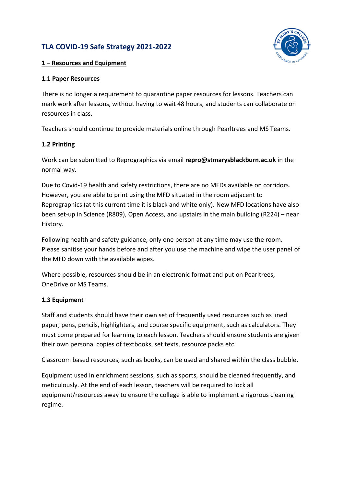# **TLA COVID-19 Safe Strategy 2021-2022**



### **1 – Resources and Equipment**

### **1.1 Paper Resources**

There is no longer a requirement to quarantine paper resources for lessons. Teachers can mark work after lessons, without having to wait 48 hours, and students can collaborate on resources in class.

Teachers should continue to provide materials online through Pearltrees and MS Teams.

## **1.2 Printing**

Work can be submitted to Reprographics via email **repro@stmarysblackburn.ac.uk** in the normal way.

Due to Covid-19 health and safety restrictions, there are no MFDs available on corridors. However, you are able to print using the MFD situated in the room adjacent to Reprographics (at this current time it is black and white only). New MFD locations have also been set-up in Science (R809), Open Access, and upstairs in the main building (R224) – near History.

Following health and safety guidance, only one person at any time may use the room. Please sanitise your hands before and after you use the machine and wipe the user panel of the MFD down with the available wipes.

Where possible, resources should be in an electronic format and put on Pearltrees, OneDrive or MS Teams.

### **1.3 Equipment**

Staff and students should have their own set of frequently used resources such as lined paper, pens, pencils, highlighters, and course specific equipment, such as calculators. They must come prepared for learning to each lesson. Teachers should ensure students are given their own personal copies of textbooks, set texts, resource packs etc.

Classroom based resources, such as books, can be used and shared within the class bubble.

Equipment used in enrichment sessions, such as sports, should be cleaned frequently, and meticulously. At the end of each lesson, teachers will be required to lock all equipment/resources away to ensure the college is able to implement a rigorous cleaning regime.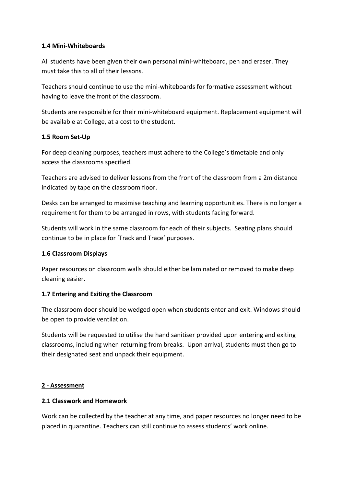#### **1.4 Mini-Whiteboards**

All students have been given their own personal mini-whiteboard, pen and eraser. They must take this to all of their lessons.

Teachers should continue to use the mini-whiteboards for formative assessment without having to leave the front of the classroom.

Students are responsible for their mini-whiteboard equipment. Replacement equipment will be available at College, at a cost to the student.

### **1.5 Room Set-Up**

For deep cleaning purposes, teachers must adhere to the College's timetable and only access the classrooms specified.

Teachers are advised to deliver lessons from the front of the classroom from a 2m distance indicated by tape on the classroom floor.

Desks can be arranged to maximise teaching and learning opportunities. There is no longer a requirement for them to be arranged in rows, with students facing forward.

Students will work in the same classroom for each of their subjects. Seating plans should continue to be in place for 'Track and Trace' purposes.

### **1.6 Classroom Displays**

Paper resources on classroom walls should either be laminated or removed to make deep cleaning easier.

### **1.7 Entering and Exiting the Classroom**

The classroom door should be wedged open when students enter and exit. Windows should be open to provide ventilation.

Students will be requested to utilise the hand sanitiser provided upon entering and exiting classrooms, including when returning from breaks. Upon arrival, students must then go to their designated seat and unpack their equipment.

### **2 - Assessment**

### **2.1 Classwork and Homework**

Work can be collected by the teacher at any time, and paper resources no longer need to be placed in quarantine. Teachers can still continue to assess students' work online.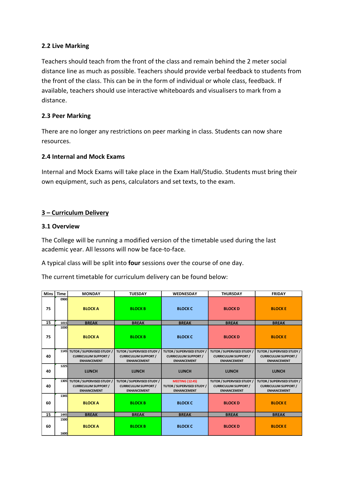#### **2.2 Live Marking**

Teachers should teach from the front of the class and remain behind the 2 meter social distance line as much as possible. Teachers should provide verbal feedback to students from the front of the class. This can be in the form of individual or whole class, feedback. If available, teachers should use interactive whiteboards and visualisers to mark from a distance.

#### **2.3 Peer Marking**

There are no longer any restrictions on peer marking in class. Students can now share resources.

#### **2.4 Internal and Mock Exams**

Internal and Mock Exams will take place in the Exam Hall/Studio. Students must bring their own equipment, such as pens, calculators and set texts, to the exam.

### **3 – Curriculum Delivery**

#### **3.1 Overview**

The College will be running a modified version of the timetable used during the last academic year. All lessons will now be face-to-face.

A typical class will be split into **four** sessions over the course of one day.

The current timetable for curriculum delivery can be found below:

| <b>Mins</b> | <b>Time</b>         | <b>MONDAY</b>                                                                      | <b>TUESDAY</b>                                                                         | <b>WEDNESDAY</b>                                                                     | <b>THURSDAY</b>                                                                        | <b>FRIDAY</b>                                                                          |
|-------------|---------------------|------------------------------------------------------------------------------------|----------------------------------------------------------------------------------------|--------------------------------------------------------------------------------------|----------------------------------------------------------------------------------------|----------------------------------------------------------------------------------------|
| 75          | 0900                | <b>BLOCK A</b>                                                                     | <b>BLOCK B</b>                                                                         | <b>BLOCK C</b>                                                                       | <b>BLOCKD</b>                                                                          | <b>BLOCKE</b>                                                                          |
| 15          | 1015                | <b>BREAK</b>                                                                       | <b>BREAK</b>                                                                           | <b>BREAK</b>                                                                         | <b>BREAK</b>                                                                           | <b>BREAK</b>                                                                           |
| 75          | 1030                | <b>BLOCK A</b>                                                                     | <b>BLOCK B</b>                                                                         | <b>BLOCK C</b>                                                                       | <b>BLOCKD</b>                                                                          | <b>BLOCKE</b>                                                                          |
| 40          |                     | 1145 TUTOR / SUPERVISED STUDY<br><b>CURRICULUM SUPPORT /</b><br><b>ENHANCEMENT</b> | <b>TUTOR / SUPERVISED STUDY /</b><br><b>CURRICULUM SUPPORT /</b><br><b>ENHANCEMENT</b> | <b>TUTOR / SUPERVISED STUDY</b><br><b>CURRICULUM SUPPORT /</b><br><b>ENHANCEMENT</b> | <b>TUTOR / SUPERVISED STUDY /</b><br><b>CURRICULUM SUPPORT /</b><br><b>ENHANCEMENT</b> | <b>TUTOR / SUPERVISED STUDY /</b><br><b>CURRICULUM SUPPORT /</b><br><b>ENHANCEMENT</b> |
| 40          | 1225                | <b>LUNCH</b>                                                                       | <b>LUNCH</b>                                                                           | <b>LUNCH</b>                                                                         | <b>LUNCH</b>                                                                           | <b>LUNCH</b>                                                                           |
| 40          | <b>1305</b>         | TUTOR / SUPERVISED STUDY /<br><b>CURRICULUM SUPPORT /</b><br><b>ENHANCEMENT</b>    | <b>TUTOR / SUPERVISED STUDY /</b><br><b>CURRICULUM SUPPORT /</b><br><b>ENHANCEMENT</b> | <b>MEETING (12:45)</b><br><b>TUTOR / SUPERVISED STUDY /</b><br><b>ENHANCEMENT</b>    | TUTOR / SUPERVISED STUDY /<br><b>CURRICULUM SUPPORT /</b><br><b>ENHANCEMENT</b>        | <b>TUTOR / SUPERVISED STUDY /</b><br><b>CURRICULUM SUPPORT /</b><br><b>ENHANCEMENT</b> |
| 60          | 1345                | <b>BLOCK A</b>                                                                     | <b>BLOCK B</b>                                                                         | <b>BLOCK C</b>                                                                       | <b>BLOCKD</b>                                                                          | <b>BLOCKE</b>                                                                          |
| 15          | 1445                | <b>BREAK</b>                                                                       | <b>BREAK</b>                                                                           | <b>BREAK</b>                                                                         | <b>BREAK</b>                                                                           | <b>BREAK</b>                                                                           |
| 60          | 1500<br><b>1600</b> | <b>BLOCKA</b>                                                                      | <b>BLOCK B</b>                                                                         | <b>BLOCK C</b>                                                                       | <b>BLOCKD</b>                                                                          | <b>BLOCKE</b>                                                                          |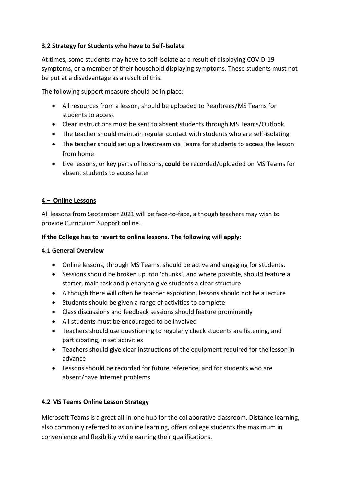## **3.2 Strategy for Students who have to Self-Isolate**

At times, some students may have to self-isolate as a result of displaying COVID-19 symptoms, or a member of their household displaying symptoms. These students must not be put at a disadvantage as a result of this.

The following support measure should be in place:

- All resources from a lesson, should be uploaded to Pearltrees/MS Teams for students to access
- Clear instructions must be sent to absent students through MS Teams/Outlook
- The teacher should maintain regular contact with students who are self-isolating
- The teacher should set up a livestream via Teams for students to access the lesson from home
- Live lessons, or key parts of lessons, **could** be recorded/uploaded on MS Teams for absent students to access later

### **4 – Online Lessons**

All lessons from September 2021 will be face-to-face, although teachers may wish to provide Curriculum Support online.

#### **If the College has to revert to online lessons. The following will apply:**

#### **4.1 General Overview**

- Online lessons, through MS Teams, should be active and engaging for students.
- Sessions should be broken up into 'chunks', and where possible, should feature a starter, main task and plenary to give students a clear structure
- Although there will often be teacher exposition, lessons should not be a lecture
- Students should be given a range of activities to complete
- Class discussions and feedback sessions should feature prominently
- All students must be encouraged to be involved
- Teachers should use questioning to regularly check students are listening, and participating, in set activities
- Teachers should give clear instructions of the equipment required for the lesson in advance
- Lessons should be recorded for future reference, and for students who are absent/have internet problems

### **4.2 MS Teams Online Lesson Strategy**

Microsoft Teams is a great all-in-one hub for the collaborative classroom. Distance learning, also commonly referred to as online learning, offers college students the maximum in convenience and flexibility while earning their qualifications.